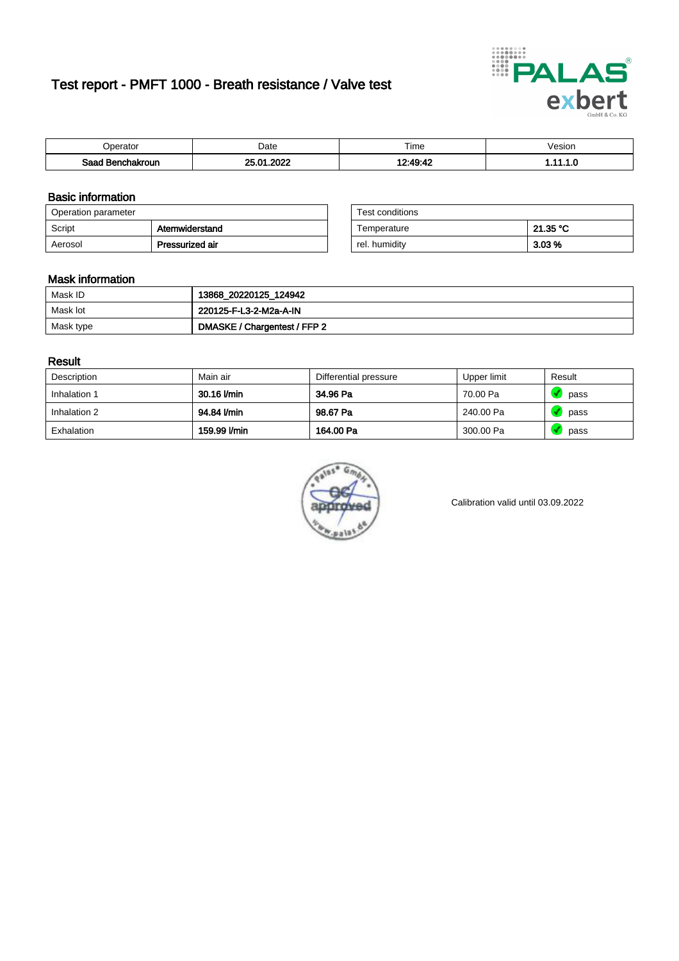# Test report - PMFT 1000 - Breath resistance / Valve test



| <b>'</b> perator              | Date           | $- \cdot$<br><b>Time</b> | /esion |
|-------------------------------|----------------|--------------------------|--------|
| Saad<br><b>nchakroun</b><br>. | ാറാറ<br>Λ.<br> | 10.10.11                 | .      |

### Basic information

| Operation parameter |                 | Test conditions |          |
|---------------------|-----------------|-----------------|----------|
| Script              | Atemwiderstand  | Temperature     | 21.35 °C |
| Aerosol             | Pressurized air | rel. humidity   | $3.03\%$ |

| Test conditions |          |
|-----------------|----------|
| Temperature     | 21.35 °C |
| rel. humidity   | 3.03%    |

#### Mask information

| Mask ID   | 13868_20220125_124942        |
|-----------|------------------------------|
| Mask lot  | 220125-F-L3-2-M2a-A-IN       |
| Mask type | DMASKE / Chargentest / FFP 2 |

### Result

| Description  | Main air     | Differential pressure | Upper limit | Result |
|--------------|--------------|-----------------------|-------------|--------|
| Inhalation 1 | 30.16 l/min  | 34.96 Pa              | 70.00 Pa    | pass   |
| Inhalation 2 | 94.84 l/min  | 98.67 Pa              | 240.00 Pa   | pass   |
| Exhalation   | 159.99 l/min | 164.00 Pa             | 300.00 Pa   | pass   |



Calibration valid until 03.09.2022